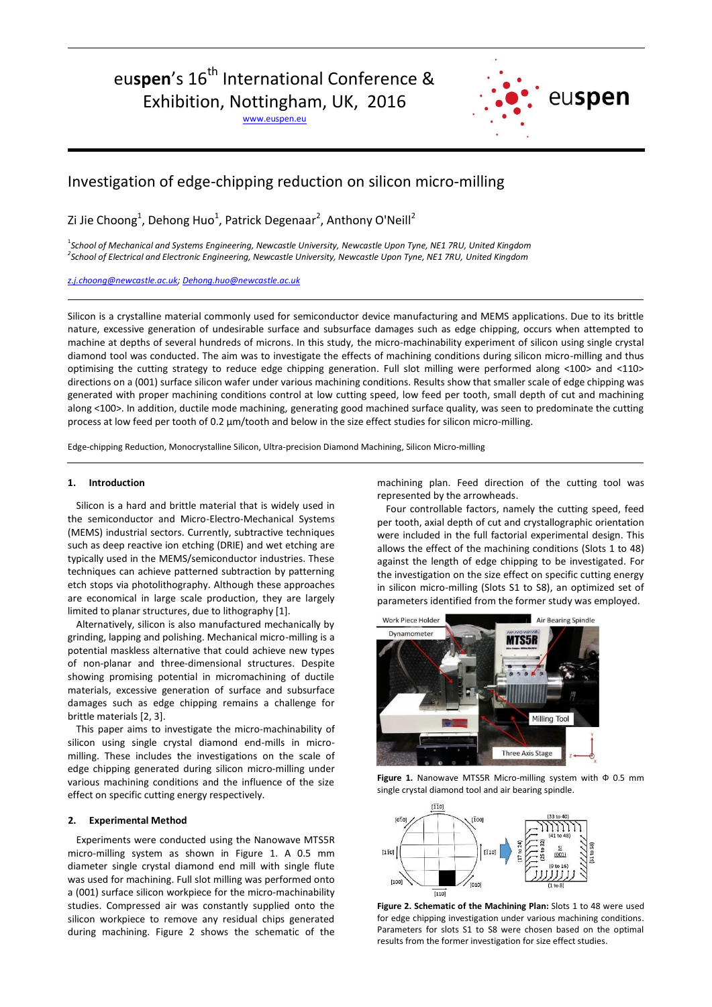# eu**spen**'s 16<sup>th</sup> International Conference &

Exhibition, Nottingham, UK, 2016

[www.euspen.eu](http://www.euspen.eu/)



## Investigation of edge-chipping reduction on silicon micro-milling

Zi Jie Choong<sup>1</sup>, Dehong Huo<sup>1</sup>, Patrick Degenaar<sup>2</sup>, Anthony O'Neill<sup>2</sup>

1 *School of Mechanical and Systems Engineering, Newcastle University, Newcastle Upon Tyne, NE1 7RU, United Kingdom 2 School of Electrical and Electronic Engineering, Newcastle University, Newcastle Upon Tyne, NE1 7RU, United Kingdom*

*[z.j.choong@newcastle.ac.uk;](mailto:z.j.choong@newcastle.ac.uk) [Dehong.huo@newcastle.ac.uk](mailto:Dehong.huo@newcastle.ac.uk)*

Silicon is a crystalline material commonly used for semiconductor device manufacturing and MEMS applications. Due to its brittle nature, excessive generation of undesirable surface and subsurface damages such as edge chipping, occurs when attempted to machine at depths of several hundreds of microns. In this study, the micro-machinability experiment of silicon using single crystal diamond tool was conducted. The aim was to investigate the effects of machining conditions during silicon micro-milling and thus optimising the cutting strategy to reduce edge chipping generation. Full slot milling were performed along <100> and <110> directions on a (001) surface silicon wafer under various machining conditions. Results show that smaller scale of edge chipping was generated with proper machining conditions control at low cutting speed, low feed per tooth, small depth of cut and machining along <100>. In addition, ductile mode machining, generating good machined surface quality, was seen to predominate the cutting process at low feed per tooth of 0.2 μm/tooth and below in the size effect studies for silicon micro-milling.

Edge-chipping Reduction, Monocrystalline Silicon, Ultra-precision Diamond Machining, Silicon Micro-milling

#### **1. Introduction**

Silicon is a hard and brittle material that is widely used in the semiconductor and Micro-Electro-Mechanical Systems (MEMS) industrial sectors. Currently, subtractive techniques such as deep reactive ion etching (DRIE) and wet etching are typically used in the MEMS/semiconductor industries. These techniques can achieve patterned subtraction by patterning etch stops via photolithography. Although these approaches are economical in large scale production, they are largely limited to planar structures, due to lithography [1].

Alternatively, silicon is also manufactured mechanically by grinding, lapping and polishing. Mechanical micro-milling is a potential maskless alternative that could achieve new types of non-planar and three-dimensional structures. Despite showing promising potential in micromachining of ductile materials, excessive generation of surface and subsurface damages such as edge chipping remains a challenge for brittle materials [2, 3].

This paper aims to investigate the micro-machinability of silicon using single crystal diamond end-mills in micromilling. These includes the investigations on the scale of edge chipping generated during silicon micro-milling under various machining conditions and the influence of the size effect on specific cutting energy respectively.

#### **2. Experimental Method**

Experiments were conducted using the Nanowave MTS5R micro-milling system as shown in Figure 1. A 0.5 mm diameter single crystal diamond end mill with single flute was used for machining. Full slot milling was performed onto a (001) surface silicon workpiece for the micro-machinability studies. Compressed air was constantly supplied onto the silicon workpiece to remove any residual chips generated during machining. Figure 2 shows the schematic of the

machining plan. Feed direction of the cutting tool was represented by the arrowheads.

Four controllable factors, namely the cutting speed, feed per tooth, axial depth of cut and crystallographic orientation were included in the full factorial experimental design. This allows the effect of the machining conditions (Slots 1 to 48) against the length of edge chipping to be investigated. For the investigation on the size effect on specific cutting energy in silicon micro-milling (Slots S1 to S8), an optimized set of parameters identified from the former study was employed.



**Figure 1.** Nanowave MTS5R Micro-milling system with Ф 0.5 mm single crystal diamond tool and air bearing spindle.



**Figure 2. Schematic of the Machining Plan:** Slots 1 to 48 were used for edge chipping investigation under various machining conditions. Parameters for slots S1 to S8 were chosen based on the optimal results from the former investigation for size effect studies.